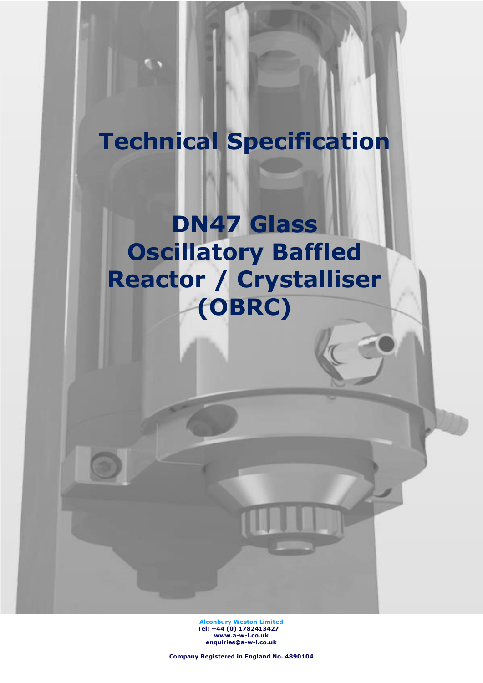# **Technical Specification**

**DN47 Glass Oscillatory Baffled Reactor / Crystalliser (OBRC)**

> **Alconbury Weston Limited Tel: +44 (0) 1782413427 [www.a-w-l.co.uk](http://www.a-w-l.co.uk/) enquiries@a-w-l.co.uk**

**Company Registered in England No. 4890104**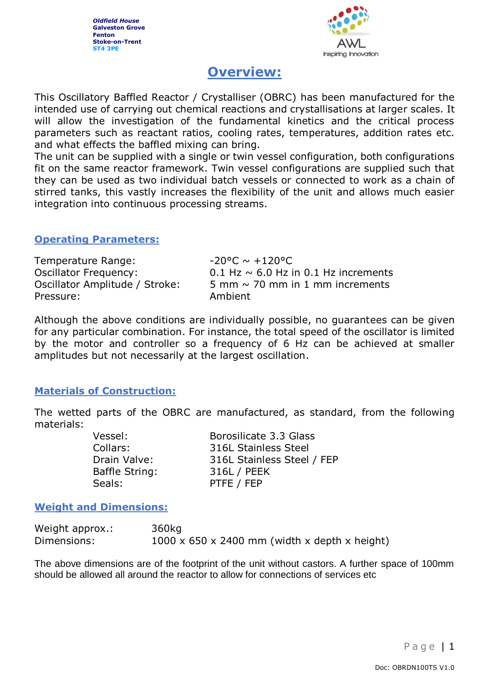*Oldfield House* **Galveston Grove Fenton Stoke-on-Trent ST4 3PE**



# **Overview:**

This Oscillatory Baffled Reactor / Crystalliser (OBRC) has been manufactured for the intended use of carrying out chemical reactions and crystallisations at larger scales. It will allow the investigation of the fundamental kinetics and the critical process parameters such as reactant ratios, cooling rates, temperatures, addition rates etc. and what effects the baffled mixing can bring.

The unit can be supplied with a single or twin vessel configuration, both configurations fit on the same reactor framework. Twin vessel configurations are supplied such that they can be used as two individual batch vessels or connected to work as a chain of stirred tanks, this vastly increases the flexibility of the unit and allows much easier integration into continuous processing streams.

#### **Operating Parameters:**

| Temperature Range:             | -20°C $\sim$ +120°C                       |
|--------------------------------|-------------------------------------------|
| <b>Oscillator Frequency:</b>   | 0.1 Hz $\sim$ 6.0 Hz in 0.1 Hz increments |
| Oscillator Amplitude / Stroke: | 5 mm $\sim$ 70 mm in 1 mm increments      |
| Pressure:                      | Ambient                                   |

Although the above conditions are individually possible, no guarantees can be given for any particular combination. For instance, the total speed of the oscillator is limited by the motor and controller so a frequency of 6 Hz can be achieved at smaller amplitudes but not necessarily at the largest oscillation.

## **Materials of Construction:**

The wetted parts of the OBRC are manufactured, as standard, from the following materials:

| Borosilicate 3.3 Glass      |
|-----------------------------|
| <b>316L Stainless Steel</b> |
| 316L Stainless Steel / FEP  |
| 316L / PEEK                 |
| PTFE / FEP                  |
|                             |

#### **Weight and Dimensions:**

| Weight approx.: | 360kg                                                     |
|-----------------|-----------------------------------------------------------|
| Dimensions:     | $1000 \times 650 \times 2400$ mm (width x depth x height) |

The above dimensions are of the footprint of the unit without castors. A further space of 100mm should be allowed all around the reactor to allow for connections of services etc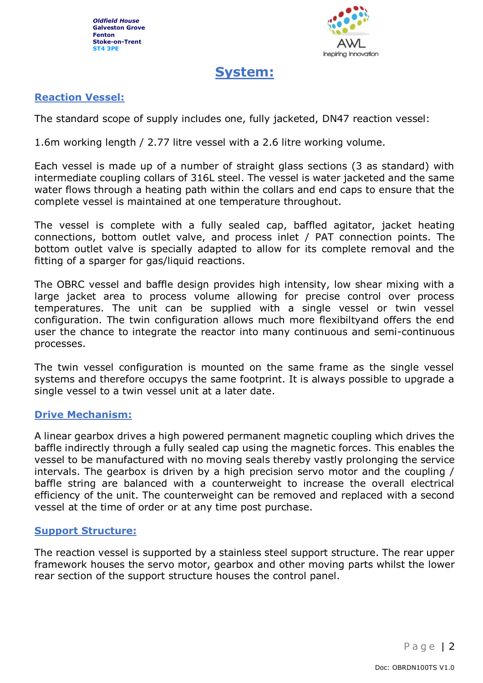

# **System:**

## **Reaction Vessel:**

The standard scope of supply includes one, fully jacketed, DN47 reaction vessel:

1.6m working length / 2.77 litre vessel with a 2.6 litre working volume.

Each vessel is made up of a number of straight glass sections (3 as standard) with intermediate coupling collars of 316L steel. The vessel is water jacketed and the same water flows through a heating path within the collars and end caps to ensure that the complete vessel is maintained at one temperature throughout.

The vessel is complete with a fully sealed cap, baffled agitator, jacket heating connections, bottom outlet valve, and process inlet / PAT connection points. The bottom outlet valve is specially adapted to allow for its complete removal and the fitting of a sparger for gas/liquid reactions.

The OBRC vessel and baffle design provides high intensity, low shear mixing with a large jacket area to process volume allowing for precise control over process temperatures. The unit can be supplied with a single vessel or twin vessel configuration. The twin configuration allows much more flexibiltyand offers the end user the chance to integrate the reactor into many continuous and semi-continuous processes.

The twin vessel configuration is mounted on the same frame as the single vessel systems and therefore occupys the same footprint. It is always possible to upgrade a single vessel to a twin vessel unit at a later date.

#### **Drive Mechanism:**

A linear gearbox drives a high powered permanent magnetic coupling which drives the baffle indirectly through a fully sealed cap using the magnetic forces. This enables the vessel to be manufactured with no moving seals thereby vastly prolonging the service intervals. The gearbox is driven by a high precision servo motor and the coupling / baffle string are balanced with a counterweight to increase the overall electrical efficiency of the unit. The counterweight can be removed and replaced with a second vessel at the time of order or at any time post purchase.

#### **Support Structure:**

The reaction vessel is supported by a stainless steel support structure. The rear upper framework houses the servo motor, gearbox and other moving parts whilst the lower rear section of the support structure houses the control panel.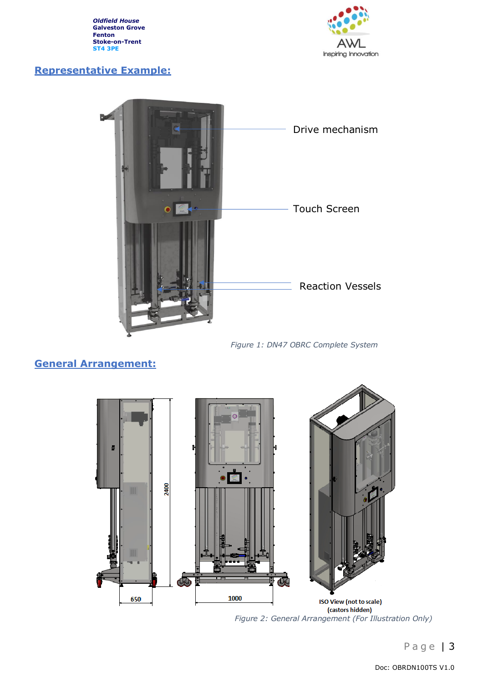*Oldfield House* **Galveston Grove Fenton Stoke-on-Trent ST4 3PE**



# **Representative Example:**



*Figure 1: DN47 OBRC Complete System*

## **General Arrangement:**



*Figure 2: General Arrangement (For Illustration Only)*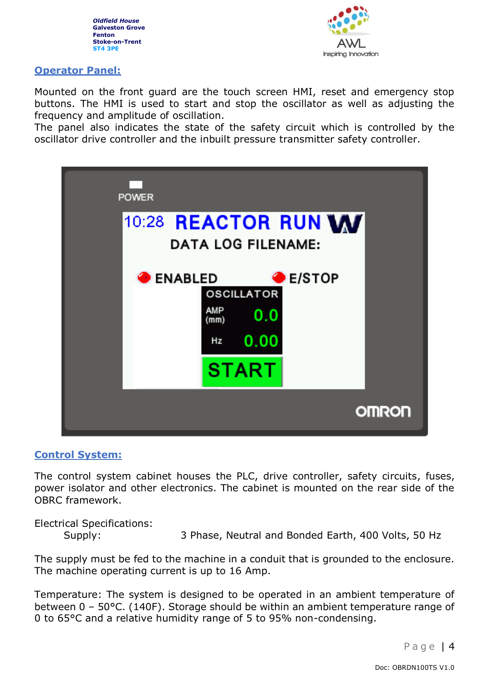



#### **Operator Panel:**

Mounted on the front guard are the touch screen HMI, reset and emergency stop buttons. The HMI is used to start and stop the oscillator as well as adjusting the frequency and amplitude of oscillation.

The panel also indicates the state of the safety circuit which is controlled by the oscillator drive controller and the inbuilt pressure transmitter safety controller.



#### **Control System:**

The control system cabinet houses the PLC, drive controller, safety circuits, fuses, power isolator and other electronics. The cabinet is mounted on the rear side of the OBRC framework.

Electrical Specifications: Supply: 3 Phase, Neutral and Bonded Earth, 400 Volts, 50 Hz

The supply must be fed to the machine in a conduit that is grounded to the enclosure. The machine operating current is up to 16 Amp.

Temperature: The system is designed to be operated in an ambient temperature of between 0 – 50°C. (140F). Storage should be within an ambient temperature range of 0 to 65°C and a relative humidity range of 5 to 95% non-condensing.